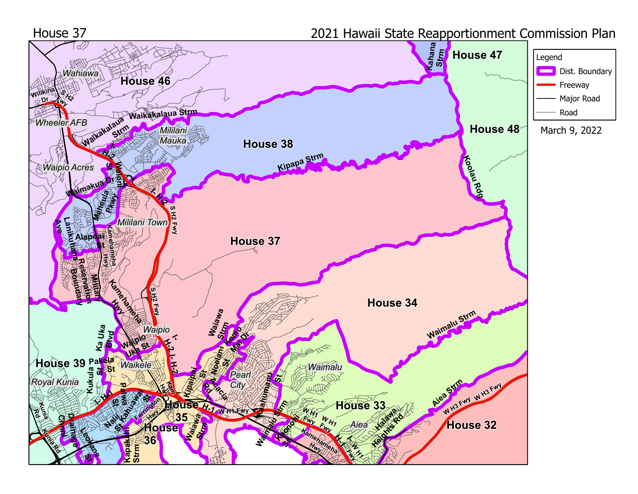